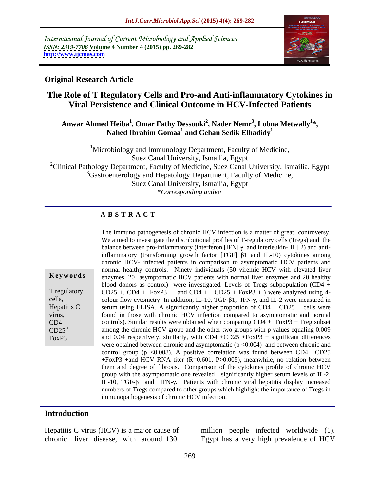International Journal of Current Microbiology and Applied Sciences *ISSN: 2319-7706* **Volume 4 Number 4 (2015) pp. 269-282 <http://www.ijcmas.com>**



#### **Original Research Article**

# **The Role of T Regulatory Cells and Pro-and Anti-inflammatory Cytokines in Viral Persistence and Clinical Outcome in HCV-Infected Patients**

#### **Anwar Ahmed Heiba<sup>1</sup> , Omar Fathy Dessouki<sup>2</sup> , Nader Nemr<sup>3</sup> , Lobna Metwally<sup>1</sup> \*,**   $N$ ahed Ibrahim Gomaa<sup>1</sup> and Gehan Sedik Elhadidy<sup>1</sup>

<sup>1</sup>Microbiology and Immunology Department, Faculty of Medicine, Suez Canal University, Ismailia, Egypt <sup>2</sup>Clinical Pathology Department, Faculty of Medicine, Suez Canal University, Ismailia, Egypt <sup>3</sup>Gastroenterology and Hepatology Department, Faculty of Medicine, Suez Canal University, Ismailia, Egypt *\*Corresponding author*

## **A B S T R A C T**

|                      | The immuno pathogenesis of chronic HCV infection is a matter of great controversy.                   |
|----------------------|------------------------------------------------------------------------------------------------------|
|                      | We aimed to investigate the distributional profiles of T-regulatory cells (Tregs) and the            |
|                      | balance between pro-inflammatory (interferon [IFN] $\gamma$ and interleukin-[IL] 2) and anti-        |
|                      | inflammatory (transforming growth factor [TGF] $\beta$ 1 and IL-10) cytokines among                  |
|                      | chronic HCV- infected patients in comparison to asymptomatic HCV patients and                        |
|                      | normal healthy controls. Ninety individuals (50 viremic HCV with elevated liver                      |
| Keywords             | enzymes, 20 asymptomatic HCV patients with normal liver enzymes and 20 healthy                       |
|                      | blood donors as control) were investigated. Levels of Tregs subpopulation (CD4 +                     |
| T regulatory         | $CD25 + CD4 + FoxP3 + and CD4 + CD25 + FoxP3 +)$ were analyzed using 4-                              |
| cells,               | colour flow cytometry. In addition, IL-10, TGF- $\beta$ 1, IFN- $\gamma$ , and IL-2 were measured in |
| Hepatitis C          | serum using ELISA. A significantly higher proportion of $CD4 + CD25 + cells$ were                    |
| virus,               | found in those with chronic HCV infection compared to asymptomatic and normal                        |
| $CD4$ <sup>+</sup>   | controls). Similar results were obtained when comparing $CD4 + FoxP3 + Treg$ subset                  |
| $CD25$ <sup>+</sup>  | among the chronic HCV group and the other two groups with p values equaling 0.009                    |
| $FoxP3$ <sup>+</sup> | and 0.04 respectively, similarly, with CD4 +CD25 +FoxP3 + significant differences                    |
|                      | were obtained between chronic and asymptomatic $(p < 0.004)$ and between chronic and                 |
|                      | control group ( $p \le 0.008$ ). A positive correlation was found between CD4 +CD25                  |
|                      | + $FoxP3$ +and HCV RNA titer (R=0.601, P>0.005), meanwhile, no relation between                      |
|                      | them and degree of fibrosis. Comparison of the cytokines profile of chronic HCV                      |
|                      | group with the asymptomatic one revealed significantly higher serum levels of IL-2,                  |
|                      | IL-10, TGF- $\beta$ and IFN- $\gamma$ . Patients with chronic viral hepatitis display increased      |
|                      | numbers of Tregs compared to other groups which highlight the importance of Tregs in                 |
|                      | immunopathogenesis of chronic HCV infection.                                                         |
|                      |                                                                                                      |

#### **Introduction**

Hepatitis C virus (HCV) is a major cause of million people infected worldwide (1).

chronic liver disease, with around 130 Egypt has a very high prevalence of HCV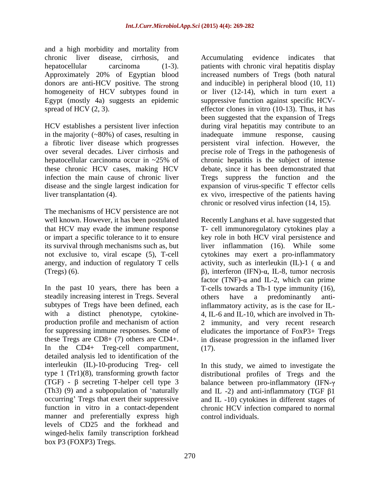and a high morbidity and mortality from donors are anti-HCV positive. The strong

in the majority  $(\sim 80\%)$  of cases, resulting in inadequate immune response, causing a fibrotic liver disease which progresses persistent viral infection. However, the these chronic HCV cases, making HCV

The mechanisms of HCV persistence are not that HCV may evade the immune response

steadily increasing interest in Tregs. Several others have a predominantly anti-In the CD4+ Treg-cell compartment, detailed analysis led to identification of the interleukin (IL)-10-producing Treg- cell In this study, we aimed to investigate the type 1 (Tr1)(8), transforming growth factor (TGF) -  $\beta$  secreting T-helper cell type 3 balance between pro-inflammatory (IFN- $\gamma$ (Th3) (9) and a subpopulation of 'naturally and IL -2) and anti-inflammatory (TGF  $\beta$ 1 occurring' Tregs that exert their suppressive and IL-10) cytokines in different stages of function in vitro in a contact-dependent chronic HCV infection compared to normal manner and preferentially express high levels of CD25 and the forkhead and winged-helix family transcription forkhead box P3 (FOXP3) Tregs.

chronic liver disease, cirrhosis, and hepatocellular carcinoma (1-3). patients with chronic viral hepatitis display Approximately 20% of Egyptian blood increased numbers of Tregs (both natural homogeneity of HCV subtypes found in or liver (12-14), which in turn exert a Egypt (mostly 4a) suggests an epidemic suppressive function against specific HCV spread of HCV (2, 3).  $\qquad \qquad$  effector clones in vitro (10-13). Thus, it has HCV establishes a persistent liver infection during viral hepatitis may contribute to an a fibrotic liver disease which progresses persistent viral infection. However, the over several decades. Liver cirrhosis and precise role of Tregs in the pathogenesis of hepatocellular carcinoma occur in ~25% of chronic hepatitis is the subject of intense infection the main cause of chronic liver Tregs suppress the function and the disease and the single largest indication for expansion of virus-specific T effector cells liver transplantation (4). ex vivo, irrespective of the patients having Accumulating evidence indicates that and inducible) in peripheral blood (10, 11) been suggested that the expansion of Tregs inadequate immune response, chronic hepatitis is the subject of intense debate, since it has been demonstrated that chronic or resolved virus infection (14, 15).

well known. However, it has been postulated Recently Langhans et al. have suggested that or impart a specific tolerance to it to ensure level where in both HCV viral persistence and its survival through mechanisms such as, but liver inflammation (16). While some not exclusive to, viral escape (5), T-cell cytokines may exert a pro-inflammatory anergy, and induction of regulatory T cells activity, such as interleukin  $(IL)-1$  ( $\alpha$  and (Tregs) (6).  $\beta$ ), interferon (IFN)- $\alpha$ , IL-8, tumor necrosis In the past 10 years, there has been a T-cells towards a Th-1 type immunity (16), subtypes of Tregs have been defined, each inflammatory activity, as is the case for IL with a distinct phenotype, cytokine- 4, IL-6 and IL-10, which are involved in Thproduction profile and mechanism of action 2 immunity, and very recent research for suppressing immune responses. Some of eludicates the importance of FoxP3+ Tregs these Tregs are CD8+ (7) others are CD4+. in disease progression in the inflamed liver T- cell immunoregulatory cytokines play a factor (TNF)- $\alpha$  and IL-2, which can prime others have a predominantly anti-(17).

> distributional profiles of Tregs and the control individuals.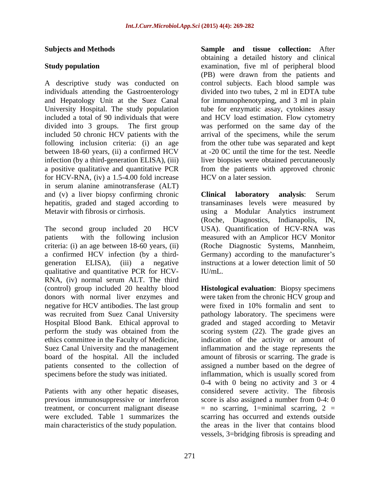A descriptive study was conducted on individuals attending the Gastroenterology<br>and Hepatology Unit at the Suez Canal included 50 chronic HCV patients with the following inclusion criteria: (i) an age between 18-60 years, (ii) a confirmed HCV a positive qualitative and quantitative PCR for HCV-RNA, (iv) a 1.5-4.00 fold increase in serum alanine aminotransferase (ALT) and (v) a liver biopsy confirming chronic **Clinical laboratory analysis**: Serum

qualitative and quantitative PCR for HCV- RNA, (iv) normal serum ALT. The third

Patients with any other hepatic diseases, previous immunosuppressive or interferon

**Subjects and Methods Sample and tissue collection:** After **Study population** examination, five ml of peripheral blood and Hepatology Unit at the Suez Canal for immunophenotyping, and 3 ml in plain University Hospital. The study population tube for enzymatic assay, cytokines assay included a total of 90 individuals that were and HCV load estimation. Flow cytometry divided into 3 groups. The first group was performed on the same day of the infection (by a third-generation ELISA), (iii) liver biopsies were obtained percutaneously obtaining a detailed history and clinical (PB) were drawn from the patients and control subjects. Each blood sample was divided into two tubes, 2 ml in EDTA tube arrival of the specimens, while the serum from the other tube was separated and kept at -20 0C until the time for the test. Needle from the patients with approved chronic HCV on a later session.

hepatitis, graded and staged according to transaminases levels were measured by Metavir with fibrosis or cirrhosis. using a Modular Analytics instrument The second group included 20 HCV USA). Quantification of HCV-RNA was patients with the following inclusion measured with an Amplicor HCV Monitor criteria: (i) an age between 18-60 years, (ii) (Roche Diagnostic Systems, Mannheim, a confirmed HCV infection (by a third-<br>Germany) according to the manufacturer's generation ELISA), (iii) a negative instructions at a lower detection limit of 50 **Clinical laboratory analysis**: Serum (Roche, Diagnostics, Indianapolis, IN, IU/mL.

(control) group included 20 healthy blood **Histological evaluation**: Biopsy specimens donors with normal liver enzymes and were taken from the chronic HCV group and negative for HCV antibodies. The last group were fixed in 10% formalin and sent to was recruited from Suez Canal University pathology laboratory. The specimens were Hospital Blood Bank. Ethical approval to graded and staged according to Metavir perform the study was obtained from the scoring system (22). The grade gives an ethics committee in the Faculty of Medicine, indication of the activity or amount of Suez Canal University and the management inflammation and the stage represents the board of the hospital. All the included amount of fibrosis or scarring. The grade is patients consented to the collection of assigned a number based on the degree of specimens before the study was initiated. inflammation, which is usually scored from previous immunosuppressive or interferon score is also assigned a number from 0-4: 0 treatment, or concurrent malignant disease  $\qquad$  = no scarring, 1=minimal scarring, 2 = were excluded. Table 1 summarizes the scarring has occurred and extends outside main characteristics of the study population. the areas in the liver that contains blood 0-4 with 0 being no activity and 3 or 4 considered severe activity. The fibrosis vessels, 3=bridging fibrosis is spreading and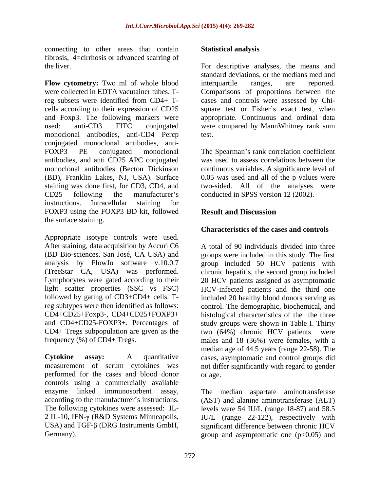connecting to other areas that contain **Statistical analysis** fibrosis, 4=cirrhosis or advanced scarring of

**Flow cytometry:** Two ml of whole blood were collected in EDTA vacutainer tubes. Treg subsets were identified from CD4+ T- cases and controls were assessed by Chi cells according to their expression of CD25 square test or Fisher's exact test, when and Foxp3. The following markers were appropriate. Continuous and ordinal data used: anti-CD3 FITC conjugated were compared by MannWhitney rank sum monoclonal antibodies, anti-CD4 Percp conjugated monoclonal antibodies, anti- FOXP3 PE conjugated monoclonal The Spearman's rank correlation coefficient antibodies, and anti CD25 APC conjugated monoclonal antibodies (Becton Dickinson continuous variables. A significance level of (BD), Franklin Lakes, NJ, USA). Surface 0.05 was used and all of the p values were staining was done first, for CD3, CD4, and two-sided. All of the analyses were CD25 following the manufacturer's conducted in SPSS version 12 (2002). instructions. Intracellular staining for FOXP3 using the FOXP3 BD kit, followed **Result and Discussion** the surface staining.

Appropriate isotype controls were used. After staining, data acquisition by Accuri C6 (BD Bio-sciences, San José, CA USA) and (TreeStar CA, USA) was performed. and CD4+CD25-FOXP3+. Percentages of  $CD4+ Tregs$  subpopulation are given as the  $two$  (64%) chronic HCV patients were

performed for the cases and blood donor controls using a commercially available enzyme linked immunosorbent assay, The median aspartate aminotransferase

#### **Statistical analysis**

the liver. For descriptive analyses, the means and standard deviations, or the medians med and interquartile ranges, are reported. Comparisons of proportions between the test.

was used to assess correlations between the

## **Result and Discussion**

#### **Characteristics of the cases and controls**

analysis by FlowJo software v.10.0.7 group included 50 HCV patients with Lymphocytes were gated according to their 20 HCV patients assigned as asymptomatic light scatter properties (SSC vs FSC) HCV-infected patients and the third one followed by gating of CD3+CD4+ cells. T-included 20 healthy blood donors serving as reg subtypes were then identified as follows: control. The demographic, biochemical, and CD4+CD25+Foxp3-, CD4+CD25+FOXP3+ histological characteristics of the the three frequency (%) of CD4+ Tregs. males and 18 (36%) were females, with a **Cytokine assay:** A quantitative cases, asymptomatic and control groups did measurement of serum cytokines was not differ significantly with regard to gender A total of 90 individuals divided into three groups were included in this study. The first chronic hepatitis, the second group included study groups were shown in Table I. Thirty two (64%) chronic HCV patients were median age of 44.5 years (range 22-58). The or age.

according to the manufacturer's instructions. (AST) and alanine aminotransferase (ALT) The following cytokines were assessed: IL-<br>levels were 54 IU/L (range 18-87) and 58.5 2 IL-10, IFN- $\gamma$  (R&D Systems Minneapolis, IU/L (range 22-122), respectively with USA) and TGF- $\beta$  (DRG Instruments GmbH, significant difference between chronic HCV Germany). Germany). Survey and asymptomatic one (p<0.05) and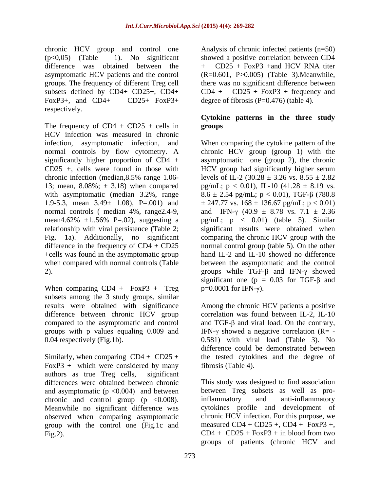chronic HCV group and control one difference was obtained between the  $+$  CD25 + FoxP3 + and HCV RNA titer subsets defined by  $CD4 + CD25+$ ,  $CD4 + CD25+$   $CD4 + CD25+$  FoxP3+ degree o FoxP3+, and CD4+ CD25+ FoxP3+ degree of fibrosis  $(P=0.476)$  (table 4). respectively.

The frequency of  $CD4 + CD25 + cells$  in groups HCV infection was measured in chronic

When comparing  $CD4 + FoxP3 + Treg$ subsets among the 3 study groups, similar

FoxP3 + which were considered by many authors as true Treg cells, significant and asymptomatic ( $p < 0.004$ ) and between the between Treg subsets as well as pro-<br>chronic and control group ( $p < 0.008$ ). inflammatory and anti-inflammatory chronic and control group  $(p \lt 0.008)$ . Meanwhile no significant difference was group with the control one (Fig.1c and

(p<0,05) (Table 1). No significant showed a positive correlation between CD4 asymptomatic HCV patients and the control (R=0.601, P>0.005) (Table 3).Meanwhile, groups. The frequency of different Treg cell there was no significant difference between Analysis of chronic infected patients (n=50) + CD25 + FoxP3 +and HCV RNA titer  $CD25 + FoxP3 + frequency$  and

#### **Cytokine patterns in the three study groups**

infection, asymptomatic infection, and When comparing the cytokine pattern of the normal controls by flow cytometry. A chronic HCV group (group 1) with the significantly higher proportion of CD4 + asymptomatic one (group 2), the chronic CD25 +, cells were found in those with HCV group had significantly higher serum chronic infection (median, 8.5% range 1.06- levels of IL-2 (30.28  $\pm$  3.26 vs. 8.55  $\pm$  2.82 13; mean, 8.08%;  $\pm$  3.18) when compared pg/mL;  $p < 0.01$ ), IL-10 (41.28  $\pm$  8.19 vs. with asymptomatic (median 3.2%, range  $8.6 \pm 2.54$  pg/mL;  $p < 0.01$ ), TGF- $\beta$  (780.8 1.9-5.3, mean  $3.49 \pm 1.08$ , P=.001) and  $\pm 247.77$  vs.  $168 \pm 136.67$  pg/mL; p < 0.01) normal controls ( median 4%, range 2.4-9, and IFN- $\gamma$  (40.9  $\pm$  8.78 vs. 7.1  $\pm$  2.36 mean4.62%  $\pm 1..56$ % P=.02), suggesting a pg/mL; p < 0.01) (table 5). Similar relationship with viral persistence (Table 2; significant results were obtained when Fig. 1a). Additionally, no significant comparing the chronic HCV group with the difference in the frequency of CD4 + CD25 normal control group (table 5). On the other +cells was found in the asymptomatic group hand IL-2 and IL-10 showed no difference when compared with normal controls (Table between the asymptomatic and the control 2).  $\qquad \qquad \text{groups} \text{ while TGF-β and IFN-γ showed}$ significant one ( $p = 0.03$  for TGF- $\beta$  and  $p=0.0001$  for IFN- $\gamma$ ).

results were obtained with significance Among the chronic HCV patients a positive difference between chronic HCV group correlation was found between IL-2, IL-10 compared to the asymptomatic and control and  $TGF-\beta$  and viral load. On the contrary, groups with p values equaling 0.009 and IFN- $\gamma$  showed a negative correlation (R= -0.04 respectively (Fig.1b). 0.581) with viral load (Table 3). No Similarly, when comparing CD4 + CD25 + the tested cytokines and the degree of difference could be demonstrated between fibrosis (Table 4).

differences were obtained between chronic This study was designed to find association observed when comparing asymptomatic chronic HCV infection. For this purpose, we Fig.2).  $CD4 + CD25 + FoxP3 + in blood from two$ between Treg subsets as well as proinflammatory and anti-inflammatory cytokines profile and development of measured  $CD4 + CD25 + CD4 + FoxP3 +$ , groups of patients (chronic HCV and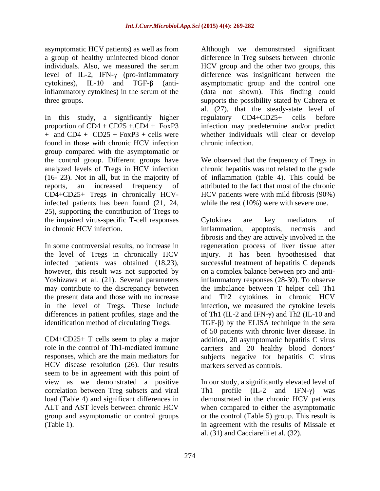asymptomatic HCV patients) as well as from inflammatory cytokines) in the serum of the

In this study, a significantly higher regulatory CD4+CD25+ cells before found in those with chronic HCV infection group compared with the asymptomatic or the control group. Different groups have We observed that the frequency of Tregs in analyzed levels of Tregs in HCV infection chronic hepatitis was not related to the grade (16- 23). Not in all, but in the majority of of inflammation (table 4). This could be reports, an increased frequency of attributed to the fact that most of the chronic CD4+CD25+ Tregs in chronically HCV-HCV patients were with mild fibrosis (90%) infected patients has been found (21, 24, 25), supporting the contribution of Tregs to the impaired virus-specific T-cell responses cytokines are key mediators of in chronic HCV infection. The inflammation, apoptosis, necrosis and

HCV disease resolution (26). Our results seem to be in agreement with this point of

a group of healthy uninfected blood donor difference in Treg subsets between chronic individuals. Also, we measured the serum HCV group and the other two groups, this level of IL-2, IFN-γ (pro-inflammatory difference was insignificant between the cytokines), IL-10 and TGF- $\beta$  (anti-<br>asymptomatic group and the control one three groups. supports the possibility stated by Cabrera et proportion of CD4 + CD25 +,CD4 + FoxP3 infection may predetermine and/or predict + and CD4 + CD25 + FoxP3 + cells were whether individuals will clear or develop Although we demonstrated significant (data not shown). This finding could al. (27), that the steady-state level of regulatory CD4+CD25+ cells before chronic infection.

while the rest (10%) were with severe one.

In some controversial results, no increase in regeneration process of liver tissue after the level of Tregs in chronically HCV injury. It has been hypothesised that infected patients was obtained (18,23), successful treatment of hepatitis C depends however, this result was not supported by on a complex balance between pro and anti-Yoshizawa et al. (21). Several parameters inflammatory responses (28-30). To observe may contribute to the discrepancy between the imbalance between T helper cell Th1 the present data and those with no increase and Th2 cytokines in chronic HCV in the level of Tregs. These include infection, we measured the cytokine levels differences in patient profiles, stage and the  $\qquad$  of Th1 (IL-2 and IFN- $\gamma$ ) and Th2 (IL-10 and identification method of circulating Tregs.  $TGF-\beta$  by the ELISA technique in the sera CD4+CD25+ T cells seem to play a major addition, 20 asymptomatic hepatitis C virus role in the control of Th1-mediated immune carriers and 20 healthy blood donors responses, which are the main mediators for subjects negative for hepatitis C virus Cytokines are key mediators of inflammation, apoptosis, necrosis and fibrosis and they are actively involved in the of 50 patients with chronic liver disease. In markers served as controls.

view as we demonstrated a positive In our study, a significantly elevated level of correlation between Treg subsets and viral  $\qquad$  Th1 profile (IL-2 and IFN- $\gamma$ ) was load (Table 4) and significant differences in demonstrated in the chronic HCV patients ALT and AST levels between chronic HCV when compared to either the asymptomatic group and asymptomatic or control groups or the control (Table 5) group. This result is (Table 1). in agreement with the results of Missale et al. (31) and Cacciarelli et al. (32).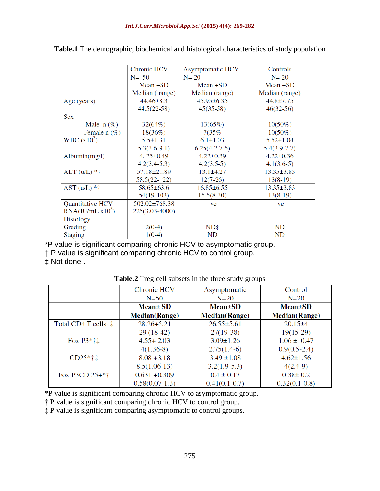|                              | Chronic HCV       | <b>Asymptomatic HCV</b> | Controls         |
|------------------------------|-------------------|-------------------------|------------------|
|                              | $N = 50$          | $N = 20$                | $N = 20$         |
|                              | $Mean + SD$       | $Mean + SD$             | $Mean + SD$      |
|                              | Median (range)    | Median (range)          | Median (range)   |
| Age (years)                  | $44.46 \pm 8.3$   | $45.95 \pm 6.35$        | $44.8 \pm 7.75$  |
|                              | $44.5(22-58)$     | $45(35-58)$             | $46(32-56)$      |
| <b>Sex</b>                   |                   |                         |                  |
| Male $n$ (%)                 | 32(64%)           | $13(65\%)$              | $10(50\%)$       |
| Female $n$ (%)               | $18(36\%)$        | 7(35%                   | $10(50\%)$       |
| WBC (x10 <sup>3</sup> )      | $5.5 \pm 1.31$    | $6.1 \pm 1.03$          | $5.52 \pm 1.04$  |
|                              | $5.3(3.6-9.1)$    | $6.25(4.2-7.5)$         | $5.4(3.9-7.7)$   |
| Albumin(mg/l)                | 4. $25 \pm 0.49$  | $4.22 \pm 0.39$         | $4.22 \pm 0.36$  |
|                              | $4.2(3.4-5.3)$    | $4.2(3.5-5)$            | $4.1(3.6-5)$     |
| $ALT (u/L) * \dagger$        | $57.18 \pm 21.89$ | $13.1\pm4.27$           | $13.35 \pm 3.83$ |
|                              | $58.5(22-122)$    | $12(7-26)$              | $13(8-19)$       |
| $AST (u/L) * \dagger$        | $58.65 \pm 63.6$  | $16.85 \pm 6.55$        | $13.35 \pm 3.83$ |
|                              | $54(19-103)$      | $15.5(8-30)$            | $13(8-19)$       |
| Quantitative HCV -           | 502.02±768.38     | $-ve$                   | $-ve$            |
| RNA(IU/mL x10 <sup>3</sup> ) | 225(3.03-4000)    |                         |                  |
| <b>Histology</b>             |                   |                         |                  |
| Grading                      | $2(0-4)$          | $ND+$                   | ND               |
| <b>Staging</b>               | $1(0-4)$          | ND                      | <b>ND</b>        |

**Table.1** The demographic, biochemical and histological characteristics of study population

\*P value is significant comparing chronic HCV to asymptomatic group.

P value is significant comparing chronic HCV to control group.

Not done .

**Table.2** Treg cell subsets in the three study groups

|                       | <b>Chronic HCV</b>    | Asymptomatic                | Control               |
|-----------------------|-----------------------|-----------------------------|-----------------------|
|                       | $N=50$                | $N=20$                      | $N=20$                |
|                       | Mean±SD               | <b>Mean</b> <sup>±</sup> SD | <b>Mean</b> ±SD       |
|                       | <b>Median</b> (Range) | <b>Median</b> (Range)       | <b>Median</b> (Range) |
| Total CD4 T cells†‡   | $28.26 + 5.21$        | $26.55 \pm 5.61$            | $20.15+4$             |
|                       | $29(18-42)$           | $27(19-38)$                 | $19(15-29)$           |
| Fox $P3*^{\dagger}$ : | $4.55 + 2.03$         | $3.09 \pm 1.26$             | $1.06 \pm 0.47$       |
|                       | $4(1.36-8)$           | $2.75(1.4-6)$               | $0.9(0.5-2.4)$        |
| $CD25*+1$             | $8.08 + 3.18$         | $3.49 \pm 1.08$             | $4.62 \pm 1.56$       |
|                       | $8.5(1.06-13)$        | $3.2(1.9-5.3)$              | $4(2.4-9)$            |
| Fox P3CD $25+*+$      | $0.631 + 0.309$       | $0.4 \pm 0.17$              | $0.38 \pm 0.2$        |
|                       | $0.58(0.07-1.3)$      | $0.41(0.1-0.7)$             | $0.32(0.1-0.8)$       |

\*P value is significant comparing chronic HCV to asymptomatic group.

P value is significant comparing chronic HCV to control group.

P value is significant comparing asymptomatic to control groups.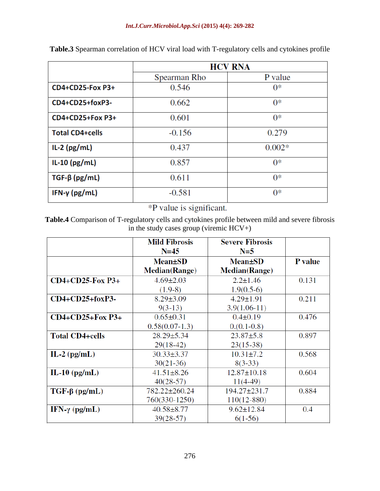|                         | <b>HCV RNA</b> |          |  |
|-------------------------|----------------|----------|--|
|                         | Spearman Rho   | P value  |  |
| <b>CD4+CD25-Fox P3+</b> | 0.546          | $0^*$    |  |
| CD4+CD25+foxP3-         | 0.662          | $0*$     |  |
| CD4+CD25+Fox P3+        | 0.601          | $0*$     |  |
| <b>Total CD4+cells</b>  | $-0.156$       | 0.279    |  |
| $IL-2$ (pg/mL)          | 0.437          | $0.002*$ |  |
| $IL-10$ (pg/mL)         | 0.857          | $0*$     |  |
| $TGF-\beta$ (pg/mL)     | 0.611          | $0*$     |  |
| IFN- $\gamma$ (pg/mL)   | $-0.581$       | $0^*$    |  |

**Table.3** Spearman correlation of HCV viral load with T-regulatory cells and cytokines profile

\*P value is significant.

**Table.4** Comparison of T-regulatory cells and cytokines profile between mild and severe fibrosis in the study cases group (viremic  $HCV+$ )

|                        | <b>Mild Fibrosis</b><br>$N = 45$ | <b>Severe Fibrosis</b><br>$N=5$ |                |
|------------------------|----------------------------------|---------------------------------|----------------|
|                        | $Mean \pm SD$                    | <b>Mean</b> <sup>±</sup> SD     | <b>P</b> value |
|                        | <b>Median</b> (Range)            | <b>Median</b> (Range)           |                |
| $CD4+CD25-Fox P3+$     | $4.69 \pm 2.03$                  | $2.2 \pm 1.46$                  | 0.131          |
|                        | $(1.9-8)$                        | $1.9(0.5-6)$                    |                |
| $CD4+CD25+foxP3-$      | $8.29 \pm 3.09$                  | $4.29 \pm 1.91$                 | 0.211          |
|                        | $9(3-13)$                        | $3.9(1.06-11)$                  |                |
| $CD4+CD25+Fox P3+$     | $0.65 \pm 0.31$                  | $0.4 \pm 0.19$                  | 0.476          |
|                        | $0.58(0.07-1.3)$                 | $0. (0.1 - 0.8)$                |                |
| <b>Total CD4+cells</b> | $28.29 \pm 5.34$                 | $23.87 \pm 5.8$                 | 0.897          |
|                        | $29(18-42)$                      | $23(15-38)$                     |                |
| IL-2 $(pg/mL)$         | $30.33 \pm 3.37$                 | $10.31 \pm 7.2$                 | 0.568          |
|                        | $30(21-36)$                      | $8(3-33)$                       |                |
| IL-10 $\text{(pg/mL)}$ | $41.51 \pm 8.26$                 | $12.87 \pm 10.18$               | 0.604          |
|                        | $40(28-57)$                      | $11(4-49)$                      |                |
| $TGF-\beta (pg/mL)$    | 782.22±260.24                    | 194.27±231.7                    | 0.884          |
|                        | 760(330-1250)                    | $110(12 - 880)$                 |                |
| IFN- $\gamma$ (pg/mL)  | $40.58 \pm 8.77$                 | $9.62 \pm 12.84$                | 0.4            |
|                        | $39(28-57)$                      | $6(1-56)$                       |                |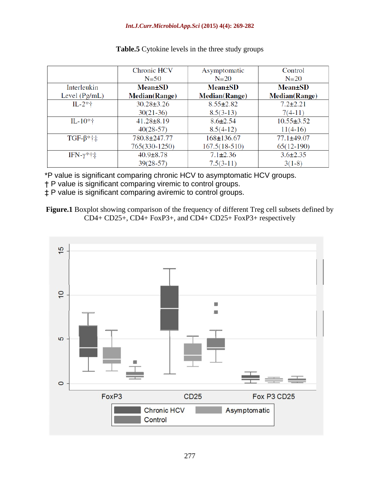#### *Int.J.Curr.Microbiol.App.Sci* **(2015) 4(4): 269-282**

|                       | <b>Chronic HCV</b>    | Asymptomatic         | Control               |
|-----------------------|-----------------------|----------------------|-----------------------|
|                       | $N=50$                | $N=20$               | $N=20$                |
| Interleukin           | <b>Mean</b> ±SD       | <b>Mean</b> ±SD      | $Mean \pm SD$         |
| Level $(Pg/mL)$       | <b>Median</b> (Range) | <b>Median(Range)</b> | <b>Median</b> (Range) |
| $IL-2*+$              | $30.28 \pm 3.26$      | $8.55 \pm 2.82$      | $7.2 \pm 2.21$        |
|                       | $30(21-36)$           | $8.5(3-13)$          | $7(4-11)$             |
| $IL-10*†$             | $41.28 \pm 8.19$      | $8.6 \pm 2.54$       | $10.55 \pm 3.52$      |
|                       | $40(28-57)$           | $8.5(4-12)$          | $11(4-16)$            |
| $TGF-\beta*†\ddagger$ | 780.8±247.77          | $168 \pm 136.67$     | $77.1 \pm 49.07$      |
|                       | 765(330-1250)         | $167.5(18-510)$      | $65(12-190)$          |
| IFN-γ*†‡              | $40.9 \pm 8.78$       | $7.1 \pm 2.36$       | $3.6 \pm 2.35$        |
|                       | $39(28-57)$           | $7.5(3-11)$          | $3(1-8)$              |

#### **Table.5** Cytokine levels in the three study groups

\*P value is significant comparing chronic HCV to asymptomatic HCV groups.

P value is significant comparing viremic to control groups.

P value is significant comparing aviremic to control groups.

**Figure.1** Boxplot showing comparison of the frequency of different Treg cell subsets defined by  $CD4+CD25+$ ,  $CD4+ FoxP3+$ , and  $CD4+CD25+ FoxP3+$  respectively

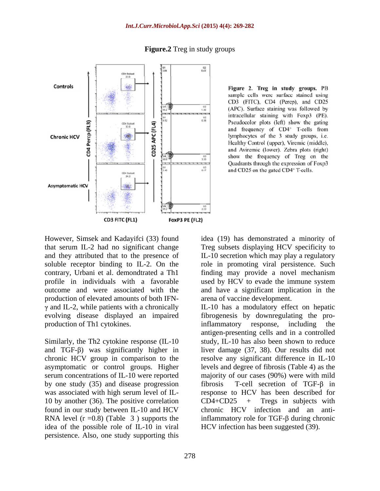

**Figure.2** Treg in study groups

Figure 2. Treg in study groups. PB sample cells were surface stained using CD3 (FITC), CD4 (Percp), and CD25 (APC). Surface staining was followed by intracellular staining with Foxp3 (PE). Pseudocolor plots (left) show the gating and frequency of CD4<sup>+</sup> T-cells from lymphocytes of the 3 study groups, i.e. Healthy Control (upper), Viremic (middle), and Aviremic (lower). Zebra plots (right) show the frequency of Treg on the Quadrants through the expression of Foxp3 and CD25 on the gated CD4+ T-cells.

that serum IL-2 had no significant change production of elevated amounts of both IFN production of Th1 cytokines. The inflammatory response, including the production of Th1 cytokines.

by one study (35) and disease progression 10 by another (36). The positive correlation  $CD4+CD25$  + Tregs in subjects with idea of the possible role of IL-10 in viral persistence. Also, one study supporting this

However, Simsek and Kadayifci (33) found idea (19) has demonstrated a minority of and they attributed that to the presence of IL-10 secretion which may play a regulatory soluble receptor binding to IL-2. On the role in promoting viral persistence. Such contrary, Urbani et al. demondtrated a Th1 finding may provide a novel mechanism profile in individuals with a favorable used by HCV to evade the immune system outcome and were associated with the and have a significant implication in the Treg subsets displaying HCV specificity to arena of vaccine development.

and IL-2, while patients with a chronically IL-10 has a modulatory effect on hepatic evolving disease displayed an impaired fibrogenesis by downregulating the pro-Similarly, the Th2 cytokine response (IL-10 study, IL-10 has also been shown to reduce and TGF- $\beta$ ) was significantly higher in liver damage (37, 38). Our results did not chronic HCV group in comparison to the resolve any significant difference in IL-10 asymptomatic or control groups. Higher levels and degree of fibrosis (Table 4) as the serum concentrations of IL-10 were reported majority of our cases (90%) were with mild was associated with high serum level of IL- response to HCV has been described for found in our study between IL-10 and HCV chronic HCV infection and an anti-RNA level ( $r = 0.8$ ) (Table 3) supports the inflammatory role for TGF- $\beta$  during chronic inflammatory response, including the antigen-presenting cells and in a controlled T-cell secretion of TGF- $\beta$  in CD4+CD25 + Tregs in subjects with HCV infection has been suggested (39).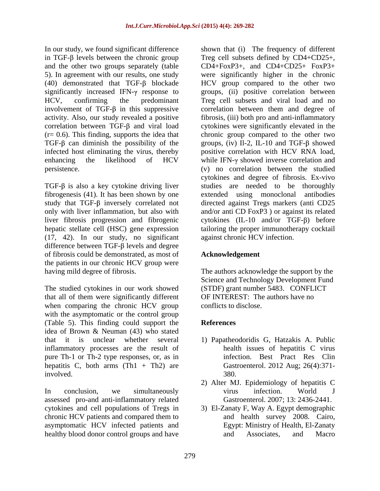In our study, we found significant difference shown that (i) The frequency of different in TGF- $\beta$  levels between the chronic group Treg cell subsets defined by CD4+CD25+, and the other two groups separately (table CD4+FoxP3+, and CD4+CD25+ FoxP3+ 5). In agreement with our results, one study were significantly higher in the chronic (40) demonstrated that TGF- $\beta$  blockade significantly increased IFN- $\gamma$  response to groups, (ii) positive correlation between HCV, confirming the predominant Treg cell subsets and viral load and no involvement of  $TGF-\beta$  in this suppressive correlation between them and degree of activity. Also, our study revealed a positive fibrosis, (iii) both pro and anti-inflammatory correlation between  $TGF-\beta$  and viral load cytokines were significantly elevated in the (r= 0.6). This finding, supports the idea that chronic group compared to the other two TGF- $\beta$  can diminish the possibility of the groups, (iv) Il-2, IL-10 and TGF- $\beta$  showed infected host eliminating the virus, thereby positive correlation with HCV RNA load, enhancing the likelihood of  $HCV$  while IFN- $\gamma$  showed inverse correlation and persistence. (v) no correlation between the studied

fibrogenesis (41). It has been shown by one hepatic stellate cell (HSC) gene expression (17, 42). In our study, no significant difference between  $TGF- $\beta$  levels and degree$ of fibrosis could be demonstrated, as most of the patients in our chronic HCV group were

The studied cytokines in our work showed that all of them were significantly different when comparing the chronic HCV group with the asymptomatic or the control group (Table 5). This finding could support the idea of Brown & Neuman (43) who stated that it is unclear whether several 1) Papatheodoridis G, Hatzakis A.Public inflammatory processes are the result of pure Th-1 or Th-2 type responses, or, as in hepatitis C, both arms  $(Th1 + Th2)$  are involved.

In conclusion, we simultaneously virus infection. World J assessed pro-and anti-inflammatory related cytokines and cell populations of Tregs in 3) El-Zanaty F,Way A. Egypt demographic chronic HCV patients and compared them to and health survey 2008. Cairo, asymptomatic HCV infected patients and healthy blood donor control groups and have and Associates, and Macro

 $TGF-\beta$  is also a key cytokine driving liver studies are needed to be thoroughly study that  $TGF-\beta$  inversely correlated not directed against Tregs markers (anti CD25 only with liver inflammation, but also with and/or anti CD FoxP3 ) or against its related liver fibrosis progression and fibrogenic cytokines  $(IL-10 \text{ and/or TGF-}\beta)$  before HCV group compared to the other two cytokines and degree of fibrosis. Ex-vivo extended using monoclonal tailoring the proper immunotherapy cocktail against chronic HCV infection.

## **Acknowledgement**

having mild degree of fibrosis. The authors acknowledge the support by the Science and Technology Development Fund (STDF) grant number 5483. CONFLICT OF INTEREST: The authors have no conflicts to disclose.

## **References**

- health issues of hepatitis C virus infection. Best Pract Res Clin Gastroenterol. 2012 Aug; 26(4):371- 380.
- 2) Alter MJ. Epidemiology of hepatitis C virus infection. World J Gastroenterol. 2007; 13: 2436-2441.
- and health survey 2008. Cairo, Egypt: Ministry of Health, El-Zanaty and Associates, and Macro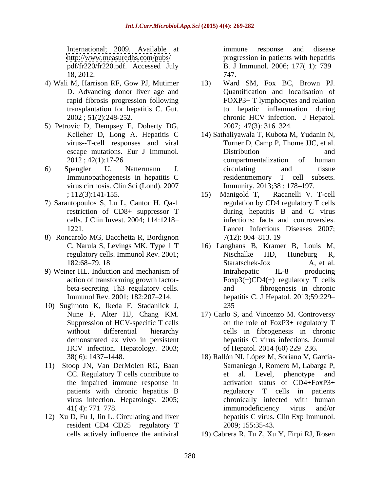International; 2009. Available at immune response and disease 18, 2012.

- 4) Wali M, Harrison RF, Gow PJ, Mutimer
- 5) Petrovic D, Dempsey E, Doherty DG,
- virus cirrhosis. Clin Sci (Lond). 2007
- 7) Sarantopoulos S, Lu L, Cantor H. Qa-1 cells. J Clin Invest. 2004; 114:1218
- 8) Roncarolo MG, Bacchetta R, Bordignon
- 9) Weiner HL. Induction and mechanism of
- 10) Sugimoto K, Ikeda F, Stadanlick J, HCV infection. Hepatology. 2003;
- 11) Stoop JN, Van DerMolen RG, Baan the impaired immune response in<br>patients with chronic hepatitis B
- 12) Xu D, Fu J, Jin L. Circulating and liver resident CD4+CD25+ regulatory T

<http://www.measuredhs.com/pubs/> progression in patients with hepatitis pdf/fr220/fr220.pdf. Accessed July B. J Immunol. 2006; 177( 1): 739 immune response and disease 747.

- D. Advancing donor liver age and Quantification and localisation of rapid fibrosis progression following FOXP3+ T lymphocytes and relation transplantation for hepatitis C. Gut. to hepatic inflammation during 2002 ; 51(2):248-252. chronic HCV infection. J Hepatol. Ward SM, Fox BC, Brown PJ. 2007; 47(3): 316 324.
- Kelleher D, Long A. Hepatitis C 14) Sathaliyawala T, Kubota M, Yudanin N, virus--T-cell responses and viral Turner D, Camp P, Thome JJC, et al. escape mutations. Eur J Immunol.  $2012$ ;  $42(1)$ :17-26 compartmentalization of human 6) Spengler U, Nattermann J. Immunopathogenesis in hepatitis C Distribution and and compartmentalization of human circulating and tissue residentmemory T cell subsets. Immunity. 2013;38 : 178-197.
	- ; 112(3):141-155. (15) Manigold T, Racanelli V. T-cell restriction of CD8+ suppressor T during hepatitis B and C virus 1221. Lancet Infectious Diseases 2007; 15) Manigold T, Racanelli V. T-cell regulation by CD4 regulatory T cells infections: facts and controversies. 7(12): 804 813. 19
	- C, Narula S, Levings MK. Type 1 T 16) Langhans B, Kramer B, Louis M, regulatory cells. Immunol Rev. 2001; 182:68–79. 18 Staratschek-Jox A, et al. action of transforming growth factor-<br>  $F\alpha p3(+)CD4(+)$  regulatory T cells beta-secreting Th3 regulatory cells. and fibrogenesis in chronic Immunol Rev. 2001; 182:207 214. hepatitis C. J Hepatol. 2013;59:229 Nischalke HD, Huneburg R, Staratschek-Jox A, et al. Intrahepatic IL-8 producing and fibrogenesis in chronic 235
	- Nune F, Alter HJ, Chang KM. 17) Carlo S, and Vincenzo M. Controversy Suppression of HCV-specific T cells on the role of FoxP3+ regulatory T without differential hierarchy cells in fibrogenesis in chronic demonstrated ex vivo in persistent hepatitis C virus infections. Journal of Hepatol. 2014 (60) 229-236.
	- 38( 6): 1437 1448. 18) Rallón NI, López M, Soriano V, García- CC. Regulatory T cells contribute to et al. Level, phenotype and patients with chronic hepatitis B regulatory T cells in patients virus infection. Hepatology. 2005; chronically infected with human 41(4): 771–778. The immunodeficiency virus and/or Samaniego J, Romero M, Labarga P, et al. Level, phenotype and activation status of CD4+FoxP3+ immunodeficiency virus and/or hepatitis C virus. Clin Exp Immunol. 2009; 155:35-43.
	- cells actively influence the antiviral 19) Cabrera R, Tu Z, Xu Y, Firpi RJ, Rosen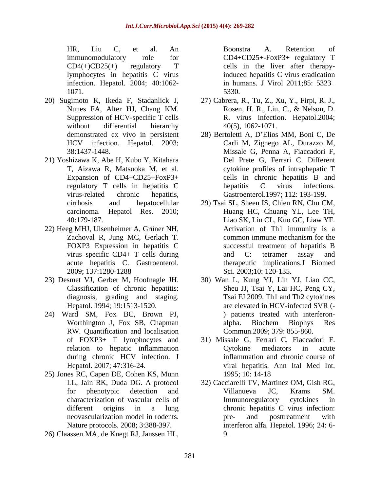HR, Liu C, et al. An immunomodulatory role for CD4+CD25+-FoxP3+ regulatory T CD4(+)CD25(+) regulatory T cells in the liver after therapylymphocytes in hepatitis C virus induced hepatitis C virus eradication infection. Hepatol. 2004; 40:1062- in humans. J Virol 2011;85: 5323

- 20) Sugimoto K, Ikeda F, Stadanlick J, 27) Cabrera, R., Tu, Z., Xu, Y., Firpi, R. J.,
- 21) Yoshizawa K, Abe H, Kubo Y, Kitahara
- 22) Heeg MHJ, Ulsenheimer A, Grüner NH,
- Classification of chronic hepatitis:
- 24) Ward SM, Fox BC, Brown PJ, RW. Quantification and localisation
- 25) Jones RC, Capen DE, Cohen KS, Munn
- 

1071. 5330.

- Nunes FA, Alter HJ, Chang KM. Rosen, H. R., Liu, C., & Nelson, D. Suppression of HCV-specific T cells R. virus infection. Hepatol.2004; without differential hierarchy  $40(5)$ ,  $1062-1071$ . Rosen, H. R., Liu, C., & Nelson, D. 40(5), 1062-1071.
- demonstrated ex vivo in persistent 28) Bertoletti A, D'Elios MM, Boni C, De HCV infection. Hepatol. 2003; Carli M, Zignego AL, Durazzo M, 38:1437-1448. Missale G, Penna A, Fiaccadori F, T, Aizawa R, Matsuoka M, et al. cytokine profiles of intraphepatic T Expansion of CD4+CD25+FoxP3+ cells in chronic hepatitis B and regulatory T cells in hepatitis C virus-related chronic hepatitis, Gastroenterol.1997; 112: 193-199. Del Prete G, Ferrari C. Different hepatitis C virus infections.
- cirrhosis and hepatocellular 29) Tsai SL, Sheen IS, Chien RN, Chu CM, carcinoma. Hepatol Res. 2010; Huang HC, Chuang YL, Lee TH, 40:179-187. Liao SK, Lin CL, Kuo GC, Liaw YF. Zachoval R, Jung MC, Gerlach T. common immune mechanism for the FOXP3 Expression in hepatitis C successful treatment of hepatitis B virus-specific CD4+ T cells during and C: tetramer assay and acute hepatitis C. Gastroenterol. therapeutic implications.J Biomed 2009; 137:1280-1288 HR, 1 inc. of all AC states in a Boonstra A. Retention of CD4 (F)/25(1) regulatory (CD4) regulatory (CD4)  $\frac{1}{2}$  (CD4)  $\frac{1}{2}$  (CD4)  $\frac{1}{2}$  (CD4)  $\frac{1}{2}$  (CD4)  $\frac{1}{2}$  (CD4)  $\frac{1}{2}$  (CD4)  $\frac{1}{2}$  (CD4)  $\frac$ Activation of Th1 immunity is a common immune mechanism for the and C: tetramer assay and Sci. 2003;10: 120-135.
- 23) Desmet VJ, Gerber M, Hoofnagle JH. 30) Wan L, Kung YJ, Lin YJ, Liao CC, diagnosis, grading and staging. Tsai FJ 2009. Th1 and Th2 cytokines Hepatol. 1994; 19:1513-1520. are elevated in HCV-infected SVR (- Worthington J, Fox SB, Chapman alpha. Biochem Biophys Res Sheu JJ, Tsai Y, Lai HC, Peng CY, ) patients treated with interferon alpha. Biochem Biophys Res Commun.2009; 379: 855-860.
	- of FOXP3+ T lymphocytes and 31) Missale G, Ferrari C, Fiaccadori F. relation to hepatic inflammation during chronic HCV infection. J inflammation and chronic course of Hepatol. 2007; 47:316-24. viral hepatitis. Ann Ital Med Int. Cytokine mediators in acute inflammation and chronic course of 1995; 10: 14-18
	- LL, Jain RK, Duda DG. A protocol 32) Cacciarelli TV, Martinez OM, Gish RG, for phenotypic detection and Villanueva JC, Krams SM. characterization of vascular cells of different origins in a lung chronic hepatitis C virus infection: neovascularization model in rodents. Nature protocols. 2008; 3:388-397. interferon alfa. Hepatol. 1996; 24: 6- Villanueva JC, Krams SM. Immunoregulatory cytokines in pre- and posttreatment with 9.